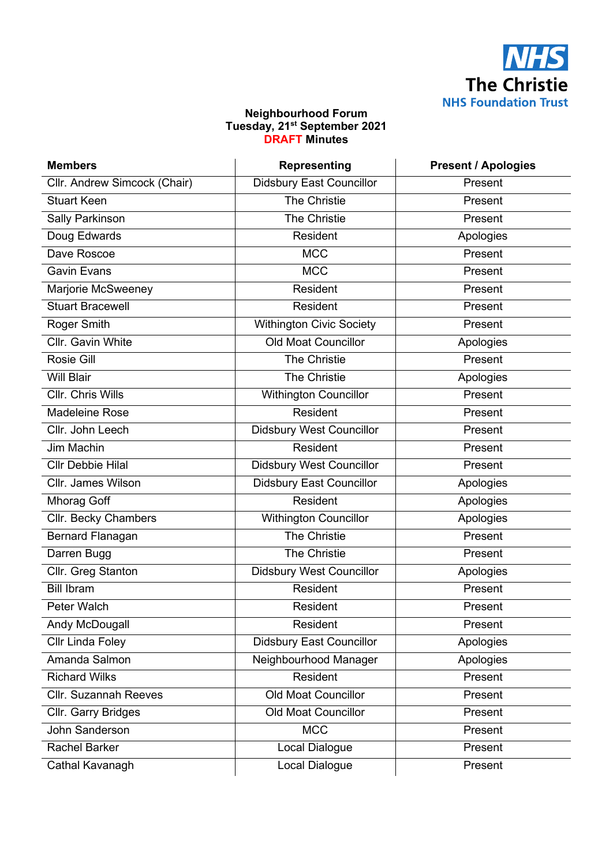

## **Neighbourhood Forum Tuesday, 21st September 2021 DRAFT Minutes**

| <b>Members</b>               | <b>Representing</b>             | <b>Present / Apologies</b> |
|------------------------------|---------------------------------|----------------------------|
| Cllr. Andrew Simcock (Chair) | <b>Didsbury East Councillor</b> | Present                    |
| <b>Stuart Keen</b>           | The Christie                    | Present                    |
| <b>Sally Parkinson</b>       | The Christie                    | Present                    |
| Doug Edwards                 | Resident                        | Apologies                  |
| Dave Roscoe                  | <b>MCC</b>                      | Present                    |
| <b>Gavin Evans</b>           | <b>MCC</b>                      | Present                    |
| Marjorie McSweeney           | Resident                        | Present                    |
| <b>Stuart Bracewell</b>      | Resident                        | Present                    |
| Roger Smith                  | <b>Withington Civic Society</b> | Present                    |
| Cllr. Gavin White            | <b>Old Moat Councillor</b>      | Apologies                  |
| Rosie Gill                   | The Christie                    | Present                    |
| <b>Will Blair</b>            | The Christie                    | Apologies                  |
| Cllr. Chris Wills            | <b>Withington Councillor</b>    | Present                    |
| <b>Madeleine Rose</b>        | Resident                        | Present                    |
| Cllr. John Leech             | <b>Didsbury West Councillor</b> | Present                    |
| <b>Jim Machin</b>            | Resident                        | Present                    |
| <b>Cllr Debbie Hilal</b>     | <b>Didsbury West Councillor</b> | Present                    |
| Cllr. James Wilson           | <b>Didsbury East Councillor</b> | Apologies                  |
| <b>Mhorag Goff</b>           | Resident                        | Apologies                  |
| Cllr. Becky Chambers         | <b>Withington Councillor</b>    | Apologies                  |
| <b>Bernard Flanagan</b>      | The Christie                    | Present                    |
| Darren Bugg                  | The Christie                    | Present                    |
| Cllr. Greg Stanton           | <b>Didsbury West Councillor</b> | Apologies                  |
| <b>Bill Ibram</b>            | <b>Resident</b>                 | Present                    |
| Peter Walch                  | Resident                        | Present                    |
| Andy McDougall               | Resident                        | Present                    |
| Cllr Linda Foley             | <b>Didsbury East Councillor</b> | Apologies                  |
| Amanda Salmon                | Neighbourhood Manager           | Apologies                  |
| <b>Richard Wilks</b>         | Resident                        | Present                    |
| <b>Cllr. Suzannah Reeves</b> | <b>Old Moat Councillor</b>      | Present                    |
| Cllr. Garry Bridges          | <b>Old Moat Councillor</b>      | Present                    |
| John Sanderson               | <b>MCC</b>                      | Present                    |
| <b>Rachel Barker</b>         | Local Dialogue                  | Present                    |
| Cathal Kavanagh              | Local Dialogue                  | Present                    |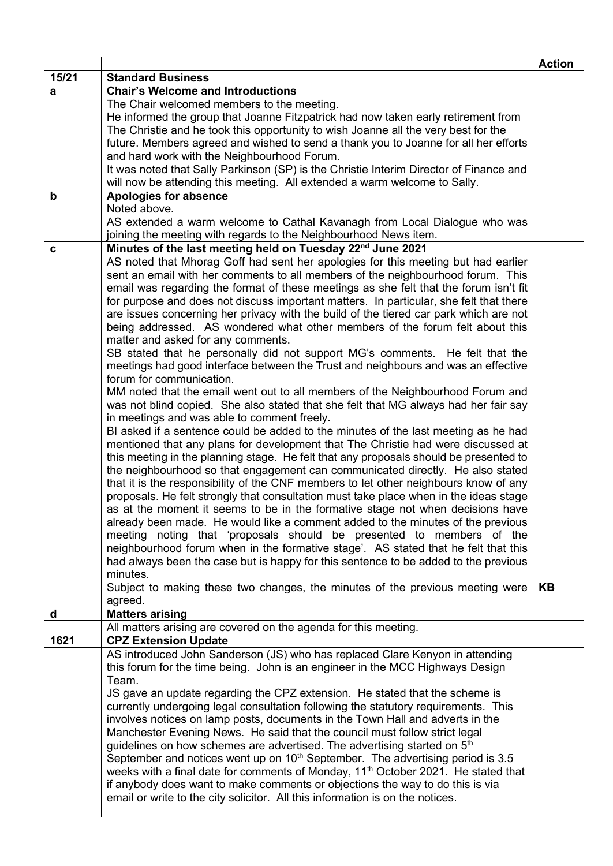|             |                                                                                                                                                                     | <b>Action</b> |
|-------------|---------------------------------------------------------------------------------------------------------------------------------------------------------------------|---------------|
| 15/21       | <b>Standard Business</b>                                                                                                                                            |               |
| a           | <b>Chair's Welcome and Introductions</b>                                                                                                                            |               |
|             | The Chair welcomed members to the meeting.                                                                                                                          |               |
|             | He informed the group that Joanne Fitzpatrick had now taken early retirement from                                                                                   |               |
|             | The Christie and he took this opportunity to wish Joanne all the very best for the                                                                                  |               |
|             | future. Members agreed and wished to send a thank you to Joanne for all her efforts                                                                                 |               |
|             | and hard work with the Neighbourhood Forum.                                                                                                                         |               |
|             | It was noted that Sally Parkinson (SP) is the Christie Interim Director of Finance and<br>will now be attending this meeting. All extended a warm welcome to Sally. |               |
| $\mathbf b$ | <b>Apologies for absence</b>                                                                                                                                        |               |
|             | Noted above.                                                                                                                                                        |               |
|             | AS extended a warm welcome to Cathal Kavanagh from Local Dialogue who was                                                                                           |               |
|             | joining the meeting with regards to the Neighbourhood News item.                                                                                                    |               |
| C           | Minutes of the last meeting held on Tuesday 22 <sup>nd</sup> June 2021                                                                                              |               |
|             | AS noted that Mhorag Goff had sent her apologies for this meeting but had earlier                                                                                   |               |
|             | sent an email with her comments to all members of the neighbourhood forum. This                                                                                     |               |
|             | email was regarding the format of these meetings as she felt that the forum isn't fit                                                                               |               |
|             | for purpose and does not discuss important matters. In particular, she felt that there                                                                              |               |
|             | are issues concerning her privacy with the build of the tiered car park which are not                                                                               |               |
|             | being addressed. AS wondered what other members of the forum felt about this                                                                                        |               |
|             | matter and asked for any comments.                                                                                                                                  |               |
|             | SB stated that he personally did not support MG's comments. He felt that the                                                                                        |               |
|             | meetings had good interface between the Trust and neighbours and was an effective                                                                                   |               |
|             | forum for communication.                                                                                                                                            |               |
|             | MM noted that the email went out to all members of the Neighbourhood Forum and                                                                                      |               |
|             | was not blind copied. She also stated that she felt that MG always had her fair say                                                                                 |               |
|             | in meetings and was able to comment freely.<br>BI asked if a sentence could be added to the minutes of the last meeting as he had                                   |               |
|             | mentioned that any plans for development that The Christie had were discussed at                                                                                    |               |
|             | this meeting in the planning stage. He felt that any proposals should be presented to                                                                               |               |
|             | the neighbourhood so that engagement can communicated directly. He also stated                                                                                      |               |
|             | that it is the responsibility of the CNF members to let other neighbours know of any                                                                                |               |
|             | proposals. He felt strongly that consultation must take place when in the ideas stage                                                                               |               |
|             | as at the moment it seems to be in the formative stage not when decisions have                                                                                      |               |
|             | already been made. He would like a comment added to the minutes of the previous                                                                                     |               |
|             | meeting noting that 'proposals should be presented to members of the                                                                                                |               |
|             | neighbourhood forum when in the formative stage'. AS stated that he felt that this                                                                                  |               |
|             | had always been the case but is happy for this sentence to be added to the previous                                                                                 |               |
|             | minutes.                                                                                                                                                            |               |
|             | Subject to making these two changes, the minutes of the previous meeting were                                                                                       | <b>KB</b>     |
|             | agreed.                                                                                                                                                             |               |
| $\mathbf d$ | <b>Matters arising</b>                                                                                                                                              |               |
| 1621        | All matters arising are covered on the agenda for this meeting.<br><b>CPZ Extension Update</b>                                                                      |               |
|             | AS introduced John Sanderson (JS) who has replaced Clare Kenyon in attending                                                                                        |               |
|             | this forum for the time being. John is an engineer in the MCC Highways Design                                                                                       |               |
|             | Team.                                                                                                                                                               |               |
|             | JS gave an update regarding the CPZ extension. He stated that the scheme is                                                                                         |               |
|             | currently undergoing legal consultation following the statutory requirements. This                                                                                  |               |
|             | involves notices on lamp posts, documents in the Town Hall and adverts in the                                                                                       |               |
|             | Manchester Evening News. He said that the council must follow strict legal                                                                                          |               |
|             | guidelines on how schemes are advertised. The advertising started on 5 <sup>th</sup>                                                                                |               |
|             | September and notices went up on $10^{th}$ September. The advertising period is 3.5                                                                                 |               |
|             | weeks with a final date for comments of Monday, 11 <sup>th</sup> October 2021. He stated that                                                                       |               |
|             | if anybody does want to make comments or objections the way to do this is via                                                                                       |               |
|             | email or write to the city solicitor. All this information is on the notices.                                                                                       |               |
|             |                                                                                                                                                                     |               |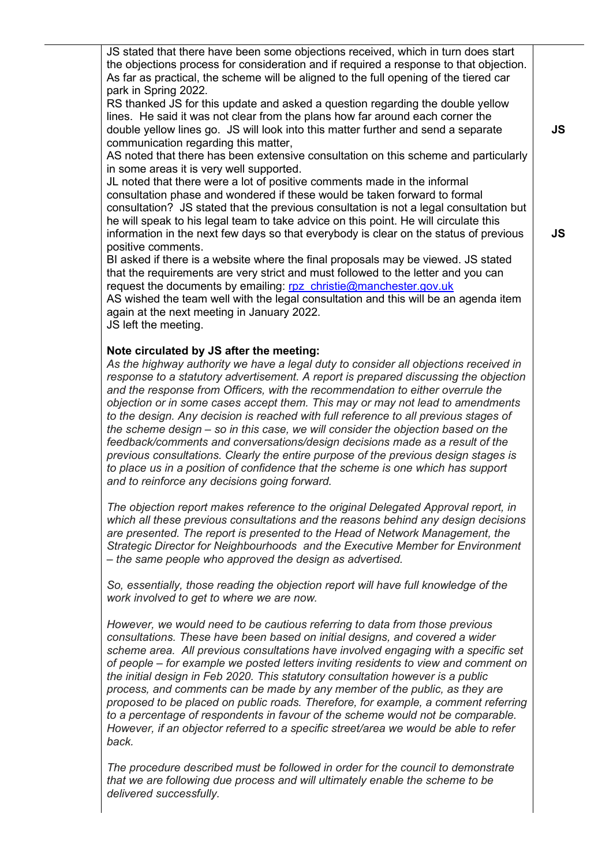JS stated that there have been some objections received, which in turn does start the objections process for consideration and if required a response to that objection. As far as practical, the scheme will be aligned to the full opening of the tiered car park in Spring 2022.

RS thanked JS for this update and asked a question regarding the double yellow lines. He said it was not clear from the plans how far around each corner the double yellow lines go. JS will look into this matter further and send a separate communication regarding this matter,

AS noted that there has been extensive consultation on this scheme and particularly in some areas it is very well supported.

JL noted that there were a lot of positive comments made in the informal consultation phase and wondered if these would be taken forward to formal consultation? JS stated that the previous consultation is not a legal consultation but he will speak to his legal team to take advice on this point. He will circulate this information in the next few days so that everybody is clear on the status of previous positive comments.

BI asked if there is a website where the final proposals may be viewed. JS stated that the requirements are very strict and must followed to the letter and you can request the documents by emailing: [rpz\\_christie@manchester.gov.uk](mailto:rpz_christie@manchester.gov.uk)

AS wished the team well with the legal consultation and this will be an agenda item again at the next meeting in January 2022.

JS left the meeting.

## **Note circulated by JS after the meeting:**

*As the highway authority we have a legal duty to consider all objections received in response to a statutory advertisement. A report is prepared discussing the objection and the response from Officers, with the recommendation to either overrule the objection or in some cases accept them. This may or may not lead to amendments to the design. Any decision is reached with full reference to all previous stages of the scheme design – so in this case, we will consider the objection based on the feedback/comments and conversations/design decisions made as a result of the previous consultations. Clearly the entire purpose of the previous design stages is to place us in a position of confidence that the scheme is one which has support and to reinforce any decisions going forward.*

*The objection report makes reference to the original Delegated Approval report, in which all these previous consultations and the reasons behind any design decisions are presented. The report is presented to the Head of Network Management, the Strategic Director for Neighbourhoods and the Executive Member for Environment – the same people who approved the design as advertised.*

*So, essentially, those reading the objection report will have full knowledge of the work involved to get to where we are now.*

*However, we would need to be cautious referring to data from those previous consultations. These have been based on initial designs, and covered a wider scheme area. All previous consultations have involved engaging with a specific set of people – for example we posted letters inviting residents to view and comment on the initial design in Feb 2020. This statutory consultation however is a public process, and comments can be made by any member of the public, as they are proposed to be placed on public roads. Therefore, for example, a comment referring to a percentage of respondents in favour of the scheme would not be comparable. However, if an objector referred to a specific street/area we would be able to refer back.*

*The procedure described must be followed in order for the council to demonstrate that we are following due process and will ultimately enable the scheme to be delivered successfully.*

**JS**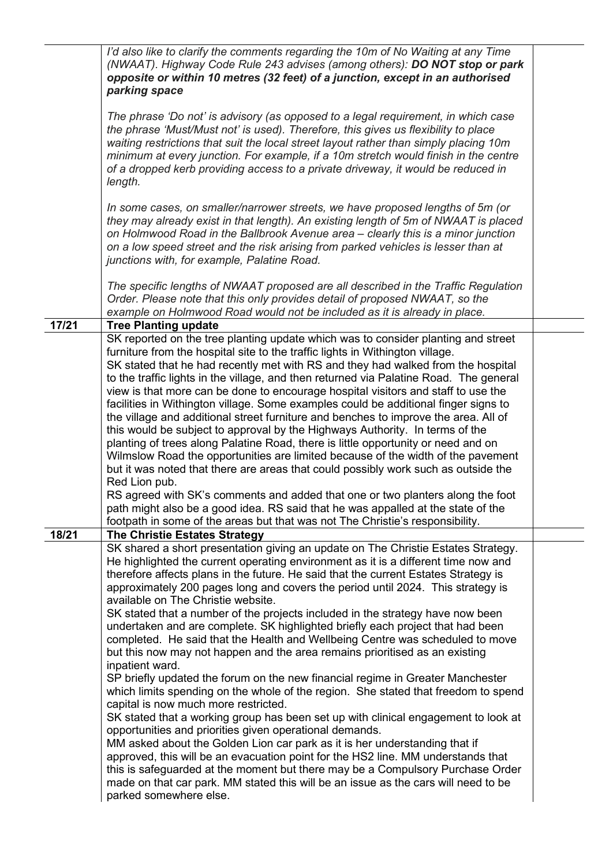|       | I'd also like to clarify the comments regarding the 10m of No Waiting at any Time<br>(NWAAT). Highway Code Rule 243 advises (among others): DO NOT stop or park<br>opposite or within 10 metres (32 feet) of a junction, except in an authorised<br>parking space                                                                                                                                                                                                                                                                                                                                                                                                                                                                                                                                                                                                                                                                                                                                                                                                                                                                                                                                                                                                                                                                                                                                                                                         |  |
|-------|-----------------------------------------------------------------------------------------------------------------------------------------------------------------------------------------------------------------------------------------------------------------------------------------------------------------------------------------------------------------------------------------------------------------------------------------------------------------------------------------------------------------------------------------------------------------------------------------------------------------------------------------------------------------------------------------------------------------------------------------------------------------------------------------------------------------------------------------------------------------------------------------------------------------------------------------------------------------------------------------------------------------------------------------------------------------------------------------------------------------------------------------------------------------------------------------------------------------------------------------------------------------------------------------------------------------------------------------------------------------------------------------------------------------------------------------------------------|--|
|       | The phrase 'Do not' is advisory (as opposed to a legal requirement, in which case<br>the phrase 'Must/Must not' is used). Therefore, this gives us flexibility to place<br>waiting restrictions that suit the local street layout rather than simply placing 10m<br>minimum at every junction. For example, if a 10m stretch would finish in the centre<br>of a dropped kerb providing access to a private driveway, it would be reduced in<br>length.                                                                                                                                                                                                                                                                                                                                                                                                                                                                                                                                                                                                                                                                                                                                                                                                                                                                                                                                                                                                    |  |
|       | In some cases, on smaller/narrower streets, we have proposed lengths of 5m (or<br>they may already exist in that length). An existing length of 5m of NWAAT is placed<br>on Holmwood Road in the Ballbrook Avenue area – clearly this is a minor junction<br>on a low speed street and the risk arising from parked vehicles is lesser than at<br>junctions with, for example, Palatine Road.                                                                                                                                                                                                                                                                                                                                                                                                                                                                                                                                                                                                                                                                                                                                                                                                                                                                                                                                                                                                                                                             |  |
|       | The specific lengths of NWAAT proposed are all described in the Traffic Regulation<br>Order. Please note that this only provides detail of proposed NWAAT, so the<br>example on Holmwood Road would not be included as it is already in place.                                                                                                                                                                                                                                                                                                                                                                                                                                                                                                                                                                                                                                                                                                                                                                                                                                                                                                                                                                                                                                                                                                                                                                                                            |  |
| 17/21 | <b>Tree Planting update</b>                                                                                                                                                                                                                                                                                                                                                                                                                                                                                                                                                                                                                                                                                                                                                                                                                                                                                                                                                                                                                                                                                                                                                                                                                                                                                                                                                                                                                               |  |
|       | SK reported on the tree planting update which was to consider planting and street<br>furniture from the hospital site to the traffic lights in Withington village.<br>SK stated that he had recently met with RS and they had walked from the hospital<br>to the traffic lights in the village, and then returned via Palatine Road. The general<br>view is that more can be done to encourage hospital visitors and staff to use the<br>facilities in Withington village. Some examples could be additional finger signs to<br>the village and additional street furniture and benches to improve the area. All of<br>this would be subject to approval by the Highways Authority. In terms of the<br>planting of trees along Palatine Road, there is little opportunity or need and on<br>Wilmslow Road the opportunities are limited because of the width of the pavement<br>but it was noted that there are areas that could possibly work such as outside the<br>Red Lion pub.<br>RS agreed with SK's comments and added that one or two planters along the foot<br>path might also be a good idea. RS said that he was appalled at the state of the<br>footpath in some of the areas but that was not The Christie's responsibility.                                                                                                                                                                                                                |  |
| 18/21 | <b>The Christie Estates Strategy</b>                                                                                                                                                                                                                                                                                                                                                                                                                                                                                                                                                                                                                                                                                                                                                                                                                                                                                                                                                                                                                                                                                                                                                                                                                                                                                                                                                                                                                      |  |
|       | SK shared a short presentation giving an update on The Christie Estates Strategy.<br>He highlighted the current operating environment as it is a different time now and<br>therefore affects plans in the future. He said that the current Estates Strategy is<br>approximately 200 pages long and covers the period until 2024. This strategy is<br>available on The Christie website.<br>SK stated that a number of the projects included in the strategy have now been<br>undertaken and are complete. SK highlighted briefly each project that had been<br>completed. He said that the Health and Wellbeing Centre was scheduled to move<br>but this now may not happen and the area remains prioritised as an existing<br>inpatient ward.<br>SP briefly updated the forum on the new financial regime in Greater Manchester<br>which limits spending on the whole of the region. She stated that freedom to spend<br>capital is now much more restricted.<br>SK stated that a working group has been set up with clinical engagement to look at<br>opportunities and priorities given operational demands.<br>MM asked about the Golden Lion car park as it is her understanding that if<br>approved, this will be an evacuation point for the HS2 line. MM understands that<br>this is safeguarded at the moment but there may be a Compulsory Purchase Order<br>made on that car park. MM stated this will be an issue as the cars will need to be |  |
|       | parked somewhere else.                                                                                                                                                                                                                                                                                                                                                                                                                                                                                                                                                                                                                                                                                                                                                                                                                                                                                                                                                                                                                                                                                                                                                                                                                                                                                                                                                                                                                                    |  |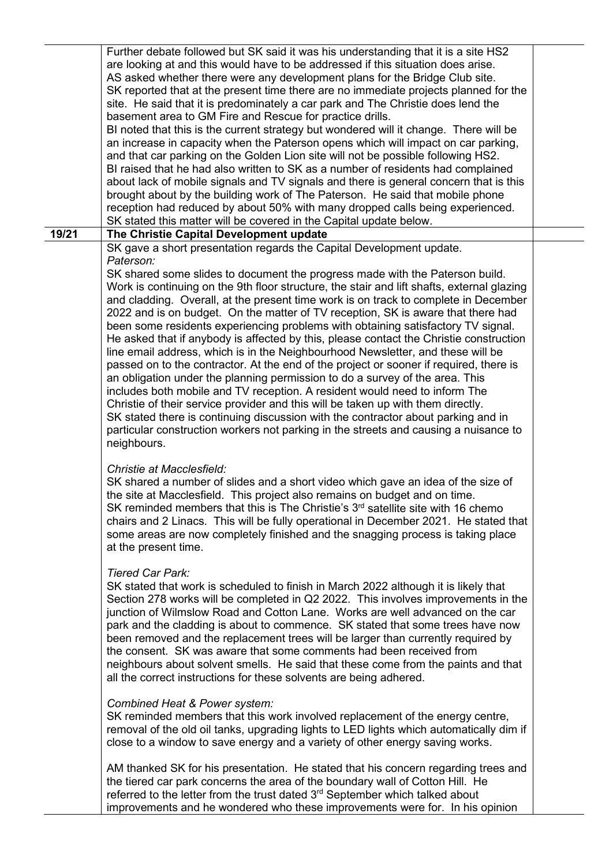Further debate followed but SK said it was his understanding that it is a site HS2 are looking at and this would have to be addressed if this situation does arise. AS asked whether there were any development plans for the Bridge Club site. SK reported that at the present time there are no immediate projects planned for the site. He said that it is predominately a car park and The Christie does lend the basement area to GM Fire and Rescue for practice drills. BI noted that this is the current strategy but wondered will it change. There will be an increase in capacity when the Paterson opens which will impact on car parking, and that car parking on the Golden Lion site will not be possible following HS2. BI raised that he had also written to SK as a number of residents had complained about lack of mobile signals and TV signals and there is general concern that is this brought about by the building work of The Paterson. He said that mobile phone reception had reduced by about 50% with many dropped calls being experienced. SK stated this matter will be covered in the Capital update below. **19/21 The Christie Capital Development update** SK gave a short presentation regards the Capital Development update. *Paterson:* SK shared some slides to document the progress made with the Paterson build. Work is continuing on the 9th floor structure, the stair and lift shafts, external glazing and cladding. Overall, at the present time work is on track to complete in December 2022 and is on budget. On the matter of TV reception, SK is aware that there had been some residents experiencing problems with obtaining satisfactory TV signal. He asked that if anybody is affected by this, please contact the Christie construction line email address, which is in the Neighbourhood Newsletter, and these will be passed on to the contractor. At the end of the project or sooner if required, there is an obligation under the planning permission to do a survey of the area. This includes both mobile and TV reception. A resident would need to inform The Christie of their service provider and this will be taken up with them directly. SK stated there is continuing discussion with the contractor about parking and in particular construction workers not parking in the streets and causing a nuisance to neighbours. *Christie at Macclesfield:* SK shared a number of slides and a short video which gave an idea of the size of the site at Macclesfield. This project also remains on budget and on time. SK reminded members that this is The Christie's  $3<sup>rd</sup>$  satellite site with 16 chemo chairs and 2 Linacs. This will be fully operational in December 2021. He stated that some areas are now completely finished and the snagging process is taking place at the present time. *Tiered Car Park:* SK stated that work is scheduled to finish in March 2022 although it is likely that Section 278 works will be completed in Q2 2022. This involves improvements in the junction of Wilmslow Road and Cotton Lane. Works are well advanced on the car park and the cladding is about to commence. SK stated that some trees have now been removed and the replacement trees will be larger than currently required by the consent. SK was aware that some comments had been received from neighbours about solvent smells. He said that these come from the paints and that all the correct instructions for these solvents are being adhered. *Combined Heat & Power system:* SK reminded members that this work involved replacement of the energy centre, removal of the old oil tanks, upgrading lights to LED lights which automatically dim if close to a window to save energy and a variety of other energy saving works. AM thanked SK for his presentation. He stated that his concern regarding trees and the tiered car park concerns the area of the boundary wall of Cotton Hill. He referred to the letter from the trust dated 3<sup>rd</sup> September which talked about

improvements and he wondered who these improvements were for. In his opinion